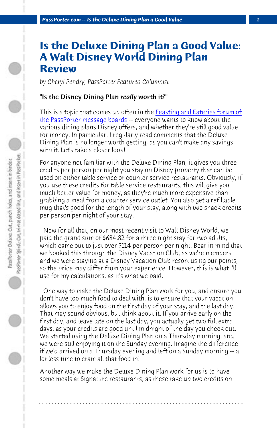*PassPorter.com -- Is the Deluxe Dining Plan a Good Value 1*

## **Is the Deluxe Dining Plan a Good Value: A Walt Disney World Dining Plan Review**

*by Cheryl Pendry, PassPorter Featured Columnist*

## "Is the Disney Dining Plan *really* worth it?"

This is a topic that comes up often in the Feasting and Eateries forum of the PassPorter message boards -- everyone wants to know about the various dining plans Disney offers, and whether they're still good value for money. In particular, I regularly read comments that the Deluxe Dining Plan is no longer worth getting, as you can't make any savings with it. Let's take a closer look!

For anyone not familiar with the Deluxe Dining Plan, it gives you three credits per person per night you stay on Disney property that can be used on either table service or counter service restaurants. Obviously, if you use these credits for table service restaurants, this will give you much better value for money, as they're much more expensive than grabbing a meal from a counter service outlet. You also get a refillable mug that's good for the length of your stay, along with two snack credits per person per night of your stay.

 Now for all that, on our most recent visit to Walt Disney World, we paid the grand sum of \$684.82 for a three night stay for two adults, which came out to just over \$114 per person per night. Bear in mind that we booked this through the Disney Vacation Club, as we're members and we were staying at a Disney Vacation Club resort using our points, so the price may differ from your experience. However, this is what I'll use for my calculations, as it's what we paid.

 One way to make the Deluxe Dining Plan work for you, and ensure you don't have too much food to deal with, is to ensure that your vacation allows you to enjoy food on the first day of your stay, and the last day. That may sound obvious, but think about it. If you arrive early on the first day, and leave late on the last day, you actually get two full extra days, as your credits are good until midnight of the day you check out. We started using the Deluxe Dining Plan on a Thursday morning, and we were still enjoying it on the Sunday evening. Imagine the difference if we'd arrived on a Thursday evening and left on a Sunday morning -- a lot less time to cram all that food in!

Another way we make the Deluxe Dining Plan work for us is to have some meals at Signature restaurants, as these take up two credits on

**. . . . . . . . . . . . . . . . . . . . . . . . . . . . . . . . . . . . . . . . . . . . . . . . . . . . . . . . . . . . . . . . . .**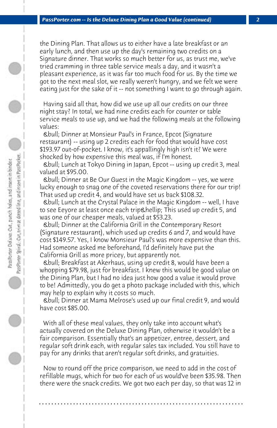the Dining Plan. That allows us to either have a late breakfast or an early lunch, and then use up the day's remaining two credits on a Signature dinner. That works so much better for us, as trust me, we've tried cramming in three table service meals a day, and it wasn't a pleasant experience, as it was far too much food for us. By the time we got to the next meal slot, we really weren't hungry, and we felt we were eating just for the sake of it -- not something I want to go through again.

 Having said all that, how did we use up all our credits on our three night stay? In total, we had nine credits each for counter or table service meals to use up, and we had the following meals at the following values:

 • Dinner at Monsieur Paul's in France, Epcot (Signature restaurant) -- using up 2 credits each for food that would have cost \$193.97 out-of-pocket. I know, it's appallingly high isn't it? We were shocked by how expensive this meal was, if I'm honest.

 • Lunch at Tokyo Dining in Japan, Epcot -- using up credit 3, meal valued at \$95.00.

 • Dinner at Be Our Guest in the Magic Kingdom -- yes, we were lucky enough to snag one of the coveted reservations there for our trip! That used up credit 4, and would have set us back \$108.32.

 • Lunch at the Crystal Palace in the Magic Kingdom -- well, I have to see Eeyore at least once each trip… This used up credit 5, and was one of our cheaper meals, valued at \$53.23.

 • Dinner at the California Grill in the Contemporary Resort (Signature restaurant), which used up credits 6 and 7, and would have cost \$149.57. Yes, I know Monsieur Paul's was more expensive than this. Had someone asked me beforehand, I'd definitely have put the California Grill as more pricey, but apparently not.

 • Breakfast at Akerhaus, using up credit 8, would have been a whopping \$79.98, just for breakfast. I knew this would be good value on the Dining Plan, but I had no idea just how good a value it would prove to be! Admittedly, you do get a photo package included with this, which may help to explain why it costs so much.

 • Dinner at Mama Melrose's used up our final credit 9, and would have cost \$85.00.

 With all of these meal values, they only take into account what's actually covered on the Deluxe Dining Plan, otherwise it wouldn't be a fair comparison. Essentially that's an appetizer, entree, dessert, and regular soft drink each, with regular sales tax included. You still have to pay for any drinks that aren't regular soft drinks, and gratuities.

 Now to round off the price comparison, we need to add in the cost of refillable mugs, which for two for each of us would've been \$35.98. Then there were the snack credits. We got two each per day, so that was 12 in

**. . . . . . . . . . . . . . . . . . . . . . . . . . . . . . . . . . . . . . . . . . . . . . . . . . . . . . . . . . . . . . . . . .**